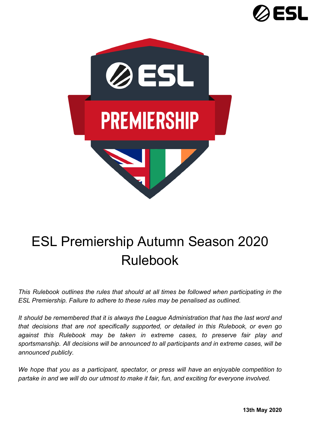



# ESL Premiership Autumn Season 2020 Rulebook

*This Rulebook outlines the rules that should at all times be followed when participating in the ESL Premiership. Failure to adhere to these rules may be penalised as outlined.*

*It should be remembered that it is always the League Administration that has the last word and that decisions that are not specifically supported, or detailed in this Rulebook, or even go against this Rulebook may be taken in extreme cases, to preserve fair play and sportsmanship. All decisions will be announced to all participants and in extreme cases, will be announced publicly.*

*We hope that you as a participant, spectator, or press will have an enjoyable competition to partake in and we will do our utmost to make it fair, fun, and exciting for everyone involved.*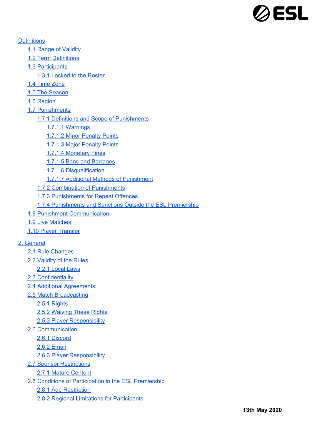

**[Definitions](#page-6-0)** 

- 1.1 Range of [Validity](#page-6-1)
- 1.2 Term [Definitions](#page-6-2)
- 1.3 [Participants](#page-7-0)

1.3.1 [Locked](#page-7-1) to the Roster

- 1.4 Time [Zone](#page-7-2)
- 1.5 The [Season](#page-7-3)
- 1.6 [Region](#page-7-4)
- 1.7 [Punishments](#page-8-0)
	- 1.7.1 Definitions and Scope of [Punishments](#page-8-1)
		- 1.7.1.1 [Warnings](#page-8-2)
		- 1.7.1.2 Minor [Penalty](#page-8-3) Points
		- 1.7.1.3 Major [Penalty](#page-8-4) Points
		- 1.7.1.4 Monetary Fines
		- 1.7.1.5 Bans and Barrages
		- 1.7.1.6 [Disqualification](#page-9-0)
		- 1.7.1.7 Additional Methods of [Punishment](#page-9-1)
	- 1.7.2 Combination of [Punishments](#page-9-2)
	- 1.7.3 [Punishments](#page-9-3) for Repeat Offences
	- 1.7.4 [Punishments](#page-9-4) and Sanctions Outside the ESL Premiership
- 1.8 Punishment [Communication](#page-9-5)
- 1.9 Live Matches
- 1.10 Player [Transfer](#page-14-0)

#### 2. [General](#page-10-0)

- 2.1 Rule [Changes](#page-10-1)
- 2.2 [Validity](#page-10-2) of the Rules
	- 2.2.1 [Local](#page-10-3) Laws
- 2.3 [Confidentiality](#page-10-4)
- 2.4 Additional [Agreements](#page-10-5)
- 2.5 Match [Broadcasting](#page-11-0)
	- 2.5.1 [Rights](#page-11-1)
	- 2.5.2 [Waiving](#page-11-2) These Rights
	- 2.5.3 Player [Responsibility](#page-11-3)
- 2.6 [Communication](#page-11-4)
	- 2.6.1 [Discord](#page-11-5)
	- 2.6.2 [Email](#page-11-6)
	- 2.6.3 Player [Responsibility](#page-12-0)
- 2.7 Sponsor [Restrictions](#page-12-1)
	- 2.7.1 Mature [Content](#page-12-2)
- 2.8 Conditions of [Participation](#page-12-3) in the ESL Premiership
	- 2.8.1 Age [Restriction](#page-12-4)
	- 2.8.2 Regional Limitations for [Participants](#page-12-5)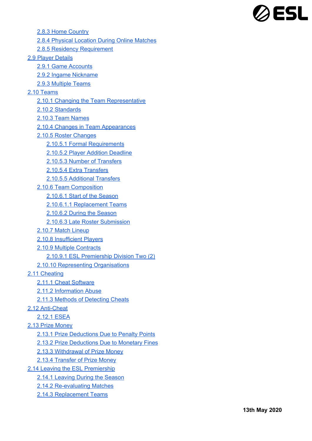

2.8.3 Home Country

- 2.8.4 Physical [Location](#page-12-6) During Online Matches
- 2.8.5 Residency [Requirement](#page-12-7)

#### 2.9 Player [Details](#page-12-8)

- 2.9.1 Game [Accounts](#page-13-0)
- 2.9.2 Ingame Nickname
- 2.9.3 Multiple Teams

#### 2.10 [Teams](#page-13-1)

- 2.10.1 Changing the Team Representative
- 2.10.2 [Standards](#page-13-2)
- 2.10.3 Team [Names](#page-13-3)
- 2.10.4 Changes in Team [Appearances](#page-13-4)
- 2.10.5 Roster [Changes](#page-14-1)
	- 2.10.5.1 Formal [Requirements](#page-14-2)
	- 2.10.5.2 Player Addition [Deadline](#page-14-3)
	- 2.10.5.3 Number of [Transfers](#page-14-4)
	- 2.10.5.4 Extra Transfers
	- 2.10.5.5 [Additional](#page-15-0) Transfers
- 2.10.6 Team [Composition](#page-15-1)
	- [2.10.6.1](#page-15-2) Start of the Season
	- 2.10.6.1.1 [Replacement](#page-15-3) Teams
	- [2.10.6.2](#page-15-4) During the Season
	- 2.10.6.3 Late Roster [Submission](#page-15-5)
- 2.10.7 Match [Lineup](#page-15-6)
- 2.10.8 [Insufficient](#page-16-0) Players
- 2.10.9 Multiple [Contracts](#page-16-1)
	- 2.10.9.1 ESL Premiership Division Two (2)
- 2.10.10 Representing [Organisations](#page-16-2)
- 2.11 [Cheating](#page-16-3)
	- 2.11.1 Cheat [Software](#page-16-4)
	- 2.11.2 [Information](#page-16-5) Abuse
	- 2.11.3 Methods of [Detecting](#page-17-0) Cheats
- 2.12 [Anti-Cheat](#page-17-1)
	- [2.12.1](#page-17-2) ESEA
- 2.13 Prize [Money](#page-17-3)
	- 2.13.1 Prize [Deductions](#page-17-4) Due to Penalty Points
	- 2.13.2 Prize [Deductions](#page-17-5) Due to Monetary Fines
	- 2.13.3 [Withdrawal](#page-18-0) of Prize Money
	- 2.13.4 [Transfer](#page-18-1) of Prize Money
- 2.14 Leaving the ESL [Premiership](#page-18-2)
	- 2.14.1 [Leaving](#page-18-3) During the Season
	- 2.14.2 Re-evaluating Matches
	- 2.14.3 [Replacement](#page-18-4) Teams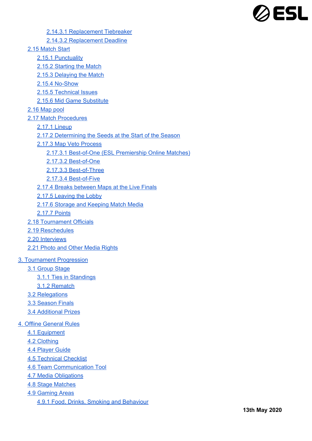

2.14.3.1 Replacement Tiebreaker

2.14.3.2 Replacement Deadline

- 2.15 [Match](#page-18-5) Start
	- 2.15.1 [Punctuality](#page-18-6)
	- 2.15.2 [Starting](#page-18-7) the Match
	- 2.15.3 [Delaying](#page-19-0) the Match
	- 2.15.4 [No-Show](#page-19-1)
	- 2.15.5 [Technical](#page-19-2) Issues
	- 2.15.6 Mid Game [Substitute](#page-19-3)
- 2.16 [Map](#page-19-4) pool
- 2.17 Match [Procedures](#page-20-0)
	- 2.17.1 [Lineup](#page-20-1)
	- 2.17.2 [Determining](#page-20-2) the Seeds at the Start of the Season
	- 2.17.3 Map Veto [Process](#page-20-3)
		- 2.17.3.1 [Best-of-One](#page-20-4) (ESL Premiership Online Matches)
		- 2.17.3.2 [Best-of-One](#page-20-5)
		- 2.17.3.3 [Best-of-Three](#page-20-6)
		- 2.17.3.4 [Best-of-Five](#page-21-0)
	- 2.17.4 Breaks [between](#page-21-1) Maps at the Live Finals
	- 2.17.5 Leaving the Lobby
	- 2.17.6 Storage and [Keeping](#page-21-2) Match Media
	- [2.17.7](#page-21-3) Points
- 2.18 [Tournament](#page-21-4) Officials
- 2.19 [Reschedules](#page-21-5)
- 2.20 [Interviews](#page-22-0)
- 2.21 Photo and Other Media [Rights](#page-22-1)
- 3. [Tournament](#page-22-2) Progression
	- 3.1 [Group](#page-22-3) Stage
		- 3.1.1 Ties in [Standings](#page-22-4)
		- 3.1.2 [Rematch](#page-23-0)
	- 3.2 [Relegations](#page-23-1)
	- 3.3 [Season](#page-23-2) Finals
	- 3.4 [Additional](#page-23-3) Prizes
- 4. Offline [General](#page-23-4) Rules
	- 4.1 [Equipment](#page-23-5)
	- 4.2 [Clothing](#page-24-0)
	- 4.4 [Player](#page-24-1) Guide
	- 4.5 [Technical](#page-24-2) Checklist
	- 4.6 Team [Communication](#page-24-3) Tool
	- 4.7 Media [Obligations](#page-24-4)
	- 4.8 Stage [Matches](#page-24-5)
	- 4.9 [Gaming](#page-25-0) Areas
		- 4.9.1 Food, Drinks, Smoking and [Behaviour](#page-25-1)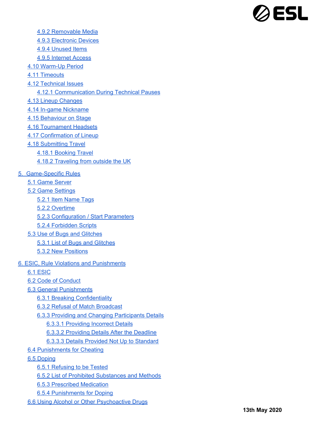

- 4.9.2 [Removable](#page-25-2) Media
- 4.9.3 [Electronic](#page-25-3) Devices
- 4.9.4 [Unused](#page-25-4) Items
- 4.9.5 [Internet](#page-25-5) Access
- 4.10 [Warm-Up](#page-25-6) Period
- 4.11 [Timeouts](#page-25-7)
- 4.12 [Technical](#page-26-0) Issues
	- 4.12.1 [Communication](#page-26-1) During Technical Pauses
- 4.13 Lineup [Changes](#page-26-2)
- 4.14 In-game [Nickname](#page-26-3)
- 4.15 [Behaviour](#page-26-4) on Stage
- 4.16 [Tournament](#page-26-5) Headsets
- 4.17 [Confirmation](#page-26-6) of Lineup
- 4.18 [Submitting](#page-27-0) Travel
	- 4.18.1 [Booking](#page-27-1) Travel
	- 4.18.2 [Traveling](#page-27-2) from outside the UK
- 5. [Game-Specific](#page-27-3) Rules
	- 5.1 Game [Server](#page-27-4)
	- 5.2 Game [Settings](#page-27-5)
		- 5.2.1 Item [Name](#page-27-6) Tags
		- 5.2.2 [Overtime](#page-27-7)
		- 5.2.3 [Configuration](#page-27-8) / Start Parameters
		- 5.2.4 [Forbidden](#page-28-0) Scripts
	- 5.3 Use of Bugs and [Glitches](#page-28-1)
		- 5.3.1 List of Bugs and [Glitches](#page-28-2)
		- 5.3.2 New [Positions](#page-28-3)
- 6. ESIC, Rule Violations and [Punishments](#page-28-4)
	- 6.1 [ESIC](#page-29-0)
	- 6.2 Code of [Conduct](#page-29-1)
	- 6.3 General [Punishments](#page-29-2)
		- 6.3.1 Breaking [Confidentiality](#page-29-3)
		- 6.3.2 Refusal of Match [Broadcast](#page-29-4)
		- 6.3.3 Providing and Changing [Participants](#page-29-5) Details
			- 6.3.3.1 [Providing](#page-29-6) Incorrect Details
			- 6.3.3.2 [Providing](#page-29-7) Details After the Deadline
			- 6.3.3.3 Details Provided Not Up to [Standard](#page-29-8)
	- 6.4 [Punishments](#page-30-0) for Cheating
	- 6.5 [Doping](#page-30-1)
		- 6.5.1 [Refusing](#page-30-2) to be Tested
		- 6.5.2 List of Prohibited [Substances](#page-30-3) and Methods
		- 6.5.3 Prescribed [Medication](#page-30-4)
		- 6.5.4 [Punishments](#page-30-5) for Doping
	- 6.6 Using Alcohol or Other [Psychoactive](#page-30-6) Drugs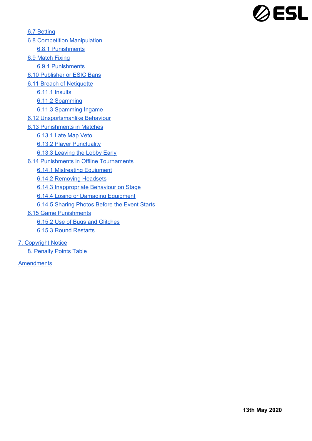

6.7 [Betting](#page-30-7) 6.8 Competition [Manipulation](#page-31-0) 6.8.1 [Punishments](#page-31-1) 6.9 [Match](#page-31-2) Fixing 6.9.1 [Punishments](#page-31-3) 6.10 [Publisher](#page-31-4) or ESIC Bans 6.11 Breach of Netiquette 6.11.1 Insults 6.11.2 [Spamming](#page-32-0) 6.11.3 [Spamming](#page-32-1) Ingame 6.12 [Unsportsmanlike](#page-31-5) Behaviour 6.13 [Punishments](#page-32-2) in Matches [6.13.1](#page-32-3) Late Map Veto 6.13.2 Player [Punctuality](#page-32-4) 6.13.3 [Leaving](#page-32-5) the Lobby Early 6.14 Punishments in Offline [Tournaments](#page-32-6) 6.14.1 [Mistreating](#page-32-7) Equipment 6.14.2 [Removing](#page-33-0) Headsets 6.14.3 [Inappropriate](#page-33-1) Behaviour on Stage 6.14.4 Losing or Damaging [Equipment](#page-33-2) 6.14.5 [Sharing](#page-33-3) Photos Before the Event Starts 6.15 Game [Punishments](#page-33-4)

- 6.15.2 Use of Bugs and [Glitches](#page-33-5)
- 6.15.3 Round [Restarts](#page-33-6)

7. [Copyright](#page-33-7) Notice

8. [Penalty](#page-34-0) Points Table

**[Amendments](#page-36-0)**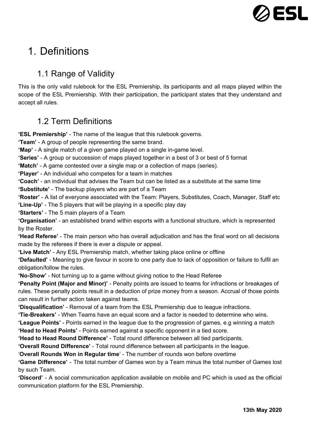

# <span id="page-6-1"></span><span id="page-6-0"></span>1. Definitions

# 1.1 Range of Validity

This is the only valid rulebook for the ESL Premiership, its participants and all maps played within the scope of the ESL Premiership. With their participation, the participant states that they understand and accept all rules.

# <span id="page-6-2"></span>1.2 Term Definitions

**'ESL Premiership'** - The name of the league that this rulebook governs.

**'Team'** - A group of people representing the same brand.

**'Map'** - A single match of a given game played on a single in-game level.

**'Series'** - A group or succession of maps played together in a best of 3 or best of 5 format

**'Match'** - A game contested over a single map or a collection of maps (series).

**'Player'** - An individual who competes for a team in matches

**'Coach'** - an individual that advises the Team but can be listed as a substitute at the same time

**'Substitute'** - The backup players who are part of a Team

**'Roster'** - A list of everyone associated with the Team: Players, Substitutes, Coach, Manager, Staff etc **'Line-Up'** - The 5 players that will be playing in a specific play day

**'Starters'** - The 5 main players of a Team

**'Organisation'** - an established brand within esports with a functional structure, which is represented by the Roster.

**'Head Referee'** - The main person who has overall adjudication and has the final word on all decisions made by the referees if there is ever a dispute or appeal.

**'Live Match'** - Any ESL Premiership match, whether taking place online or offline

**'Defaulted'** - Meaning to give favour in score to one party due to lack of opposition or failure to fulfil an obligation/follow the rules.

**'No-Show'** - Not turning up to a game without giving notice to the Head Referee

**'Penalty Point (Major and Minor)'** - Penalty points are issued to teams for infractions or breakages of rules. These penalty points result in a deduction of prize money from a season. Accrual of those points can result in further action taken against teams.

**'Disqualification'** - Removal of a team from the ESL Premiership due to league infractions.

**'Tie-Breakers'** - When Teams have an equal score and a factor is needed to determine who wins.

**'League Points'** - Points earned in the league due to the progression of games, e.g winning a match **'Head to Head Points'** - Points earned against a specific opponent in a tied score.

**'Head to Head Round Difference'** - Total round difference between all tied participants.

**'Overall Round Difference'** - Total round difference between all participants in the league.

'**Overall Rounds Won in Regular time**' - The number of rounds won before overtime

**'Game Difference'** - The total number of Games won by a Team minus the total number of Games lost by such Team.

**'Discord'** - A social communication application available on mobile and PC which is used as the official communication platform for the ESL Premiership.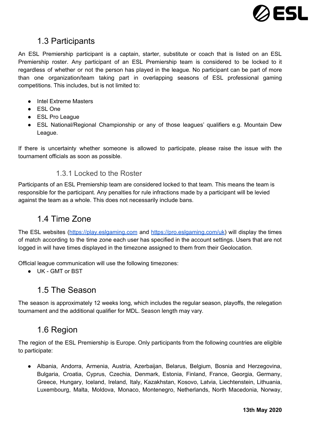

## <span id="page-7-0"></span>1.3 Participants

An ESL Premiership participant is a captain, starter, substitute or coach that is listed on an ESL Premiership roster. Any participant of an ESL Premiership team is considered to be locked to it regardless of whether or not the person has played in the league. No participant can be part of more than one organization/team taking part in overlapping seasons of ESL professional gaming competitions. This includes, but is not limited to:

- Intel Extreme Masters
- ESL One
- ESL Pro League
- ESL National/Regional Championship or any of those leagues' qualifiers e.g. Mountain Dew League.

<span id="page-7-1"></span>If there is uncertainty whether someone is allowed to participate, please raise the issue with the tournament officials as soon as possible.

### 1.3.1 Locked to the Roster

Participants of an ESL Premiership team are considered locked to that team. This means the team is responsible for the participant. Any penalties for rule infractions made by a participant will be levied against the team as a whole. This does not necessarily include bans.

## <span id="page-7-2"></span>1.4 Time Zone

The ESL websites ([https://play.eslgaming.com](https://play.eslgaming.com/) and <https://pro.eslgaming.com/uk>) will display the times of match according to the time zone each user has specified in the account settings. Users that are not logged in will have times displayed in the timezone assigned to them from their Geolocation.

Official league communication will use the following timezones:

<span id="page-7-3"></span>● UK - GMT or BST

## 1.5 The Season

<span id="page-7-4"></span>The season is approximately 12 weeks long, which includes the regular season, playoffs, the relegation tournament and the additional qualifier for MDL. Season length may vary.

## 1.6 Region

The region of the ESL Premiership is Europe. Only participants from the following countries are eligible to participate:

● Albania, Andorra, Armenia, Austria, Azerbaijan, Belarus, Belgium, Bosnia and Herzegovina, Bulgaria, Croatia, Cyprus, Czechia, Denmark, Estonia, Finland, France, Georgia, Germany, Greece, Hungary, Iceland, Ireland, Italy, Kazakhstan, Kosovo, Latvia, Liechtenstein, Lithuania, Luxembourg, Malta, Moldova, Monaco, Montenegro, Netherlands, North Macedonia, Norway,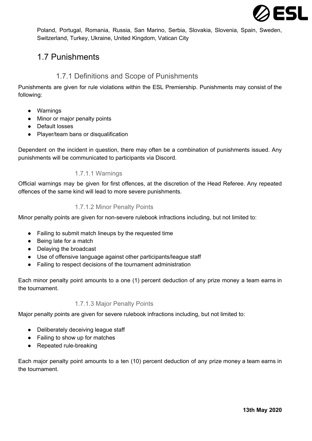

Poland, Portugal, Romania, Russia, San Marino, Serbia, Slovakia, Slovenia, Spain, Sweden, Switzerland, Turkey, Ukraine, United Kingdom, Vatican City

# <span id="page-8-0"></span>1.7 Punishments

## 1.7.1 Definitions and Scope of Punishments

<span id="page-8-1"></span>Punishments are given for rule violations within the ESL Premiership. Punishments may consist of the following:

- Warnings
- Minor or major penalty points
- Default losses
- Player/team bans or disqualification

<span id="page-8-2"></span>Dependent on the incident in question, there may often be a combination of punishments issued. Any punishments will be communicated to participants via Discord.

### 1.7.1.1 Warnings

<span id="page-8-3"></span>Official warnings may be given for first offences, at the discretion of the Head Referee. Any repeated offences of the same kind will lead to more severe punishments.

### 1.7.1.2 Minor Penalty Points

Minor penalty points are given for non-severe rulebook infractions including, but not limited to:

- Failing to submit match lineups by the requested time
- Being late for a match
- Delaying the broadcast
- Use of offensive language against other participants/league staff
- Failing to respect decisions of the tournament administration

<span id="page-8-4"></span>Each minor penalty point amounts to a one (1) percent deduction of any prize money a team earns in the tournament.

### 1.7.1.3 Major Penalty Points

Major penalty points are given for severe rulebook infractions including, but not limited to:

- Deliberately deceiving league staff
- Failing to show up for matches
- Repeated rule-breaking

Each major penalty point amounts to a ten (10) percent deduction of any prize money a team earns in the tournament.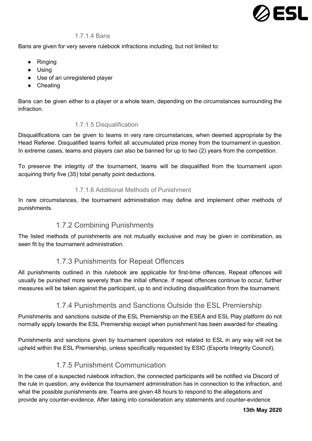

#### 1.7.1.4 Bans

Bans are given for very severe rulebook infractions including, but not limited to:

- Ringing
- Using
- Use of an unregistered player
- Cheating

<span id="page-9-0"></span>Bans can be given either to a player or a whole team, depending on the circumstances surrounding the infraction.

### 1.7.1.5 Disqualification

Disqualifications can be given to teams in very rare circumstances, when deemed appropriate by the Head Referee. Disqualified teams forfeit all accumulated prize money from the tournament in question. In extreme cases, teams and players can also be banned for up to two (2) years from the competition.

<span id="page-9-1"></span>To preserve the integrity of the tournament, teams will be disqualified from the tournament upon acquiring thirty five (35) total penalty point deductions.

### 1.7.1.6 Additional Methods of Punishment

<span id="page-9-2"></span>In rare circumstances, the tournament administration may define and implement other methods of punishments.

### 1.7.2 Combining Punishments

<span id="page-9-3"></span>The listed methods of punishments are not mutually exclusive and may be given in combination, as seen fit by the tournament administration.

## 1.7.3 Punishments for Repeat Offences

All punishments outlined in this rulebook are applicable for first-time offences. Repeat offences will usually be punished more severely than the initial offence. If repeat offences continue to occur, further measures will be taken against the participant, up to and including disqualification from the tournament.

## 1.7.4 Punishments and Sanctions Outside the ESL Premiership

<span id="page-9-4"></span>Punishments and sanctions outside of the ESL Premiership on the ESEA and ESL Play platform do not normally apply towards the ESL Premiership except when punishment has been awarded for cheating.

<span id="page-9-5"></span>Punishments and sanctions given by tournament operators not related to ESL in any way will not be upheld within the ESL Premiership, unless specifically requested by ESIC (Esports Integrity Council).

## 1.7.5 Punishment Communication

In the case of a suspected rulebook infraction, the connected participants will be notified via Discord of the rule in question, any evidence the tournament administration has in connection to the infraction, and what the possible punishments are. Teams are given 48 hours to respond to the allegations and provide any counter-evidence. After taking into consideration any statements and counter-evidence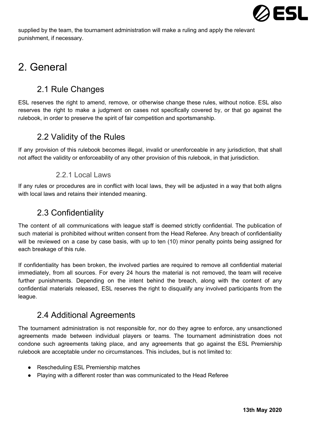

supplied by the team, the tournament administration will make a ruling and apply the relevant punishment, if necessary.

# <span id="page-10-1"></span><span id="page-10-0"></span>2. General

# 2.1 Rule Changes

ESL reserves the right to amend, remove, or otherwise change these rules, without notice. ESL also reserves the right to make a judgment on cases not specifically covered by, or that go against the rulebook, in order to preserve the spirit of fair competition and sportsmanship.

# <span id="page-10-2"></span>2.2 Validity of the Rules

<span id="page-10-3"></span>If any provision of this rulebook becomes illegal, invalid or unenforceable in any jurisdiction, that shall not affect the validity or enforceability of any other provision of this rulebook, in that jurisdiction.

### 2.2.1 Local Laws

<span id="page-10-4"></span>If any rules or procedures are in conflict with local laws, they will be adjusted in a way that both aligns with local laws and retains their intended meaning.

## 2.3 Confidentiality

The content of all communications with league staff is deemed strictly confidential. The publication of such material is prohibited without written consent from the Head Referee. Any breach of confidentiality will be reviewed on a case by case basis, with up to ten (10) minor penalty points being assigned for each breakage of this rule.

If confidentiality has been broken, the involved parties are required to remove all confidential material immediately, from all sources. For every 24 hours the material is not removed, the team will receive further punishments. Depending on the intent behind the breach, along with the content of any confidential materials released, ESL reserves the right to disqualify any involved participants from the league.

## <span id="page-10-5"></span>2.4 Additional Agreements

The tournament administration is not responsible for, nor do they agree to enforce, any unsanctioned agreements made between individual players or teams. The tournament administration does not condone such agreements taking place, and any agreements that go against the ESL Premiership rulebook are acceptable under no circumstances. This includes, but is not limited to:

- Rescheduling ESL Premiership matches
- Playing with a different roster than was communicated to the Head Referee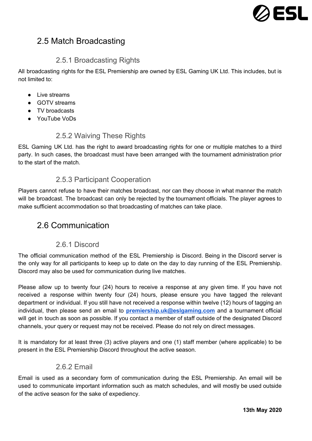

# <span id="page-11-0"></span>2.5 Match Broadcasting

### 2.5.1 Broadcasting Rights

<span id="page-11-1"></span>All broadcasting rights for the ESL Premiership are owned by ESL Gaming UK Ltd. This includes, but is not limited to:

- Live streams
- GOTV streams
- TV broadcasts
- <span id="page-11-2"></span>● YouTube VoDs

### 2.5.2 Waiving These Rights

ESL Gaming UK Ltd. has the right to award broadcasting rights for one or multiple matches to a third party. In such cases, the broadcast must have been arranged with the tournament administration prior to the start of the match.

### 2.5.3 Participant Cooperation

<span id="page-11-3"></span>Players cannot refuse to have their matches broadcast, nor can they choose in what manner the match will be broadcast. The broadcast can only be rejected by the tournament officials. The player agrees to make sufficient accommodation so that broadcasting of matches can take place.

## <span id="page-11-4"></span>2.6 Communication

### 2.6.1 Discord

<span id="page-11-5"></span>The official communication method of the ESL Premiership is Discord. Being in the Discord server is the only way for all participants to keep up to date on the day to day running of the ESL Premiership. Discord may also be used for communication during live matches.

Please allow up to twenty four (24) hours to receive a response at any given time. If you have not received a response within twenty four (24) hours, please ensure you have tagged the relevant department or individual. If you still have not received a response within twelve (12) hours of tagging an individual, then please send an email to **[premiership.uk@eslgaming.com](mailto:premiership.uk@eslgaming.com)** and a tournament official will get in touch as soon as possible. If you contact a member of staff outside of the designated Discord channels, your query or request may not be received. Please do not rely on direct messages.

<span id="page-11-6"></span>It is mandatory for at least three (3) active players and one (1) staff member (where applicable) to be present in the ESL Premiership Discord throughout the active season.

### 2.6.2 Email

Email is used as a secondary form of communication during the ESL Premiership. An email will be used to communicate important information such as match schedules, and will mostly be used outside of the active season for the sake of expediency.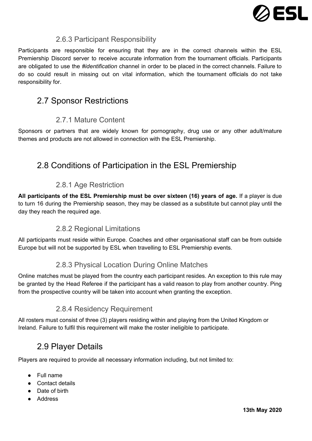

### 2.6.3 Participant Responsibility

<span id="page-12-0"></span>Participants are responsible for ensuring that they are in the correct channels within the ESL Premiership Discord server to receive accurate information from the tournament officials. Participants are obligated to use the *#identification* channel in order to be placed in the correct channels. Failure to do so could result in missing out on vital information, which the tournament officials do not take responsibility for.

# <span id="page-12-1"></span>2.7 Sponsor Restrictions

## 2.7.1 Mature Content

<span id="page-12-2"></span>Sponsors or partners that are widely known for pornography, drug use or any other adult/mature themes and products are not allowed in connection with the ESL Premiership.

# <span id="page-12-3"></span>2.8 Conditions of Participation in the ESL Premiership

## 2.8.1 Age Restriction

<span id="page-12-4"></span>**All participants of the ESL Premiership must be over sixteen (16) years of age.** If a player is due to turn 16 during the Premiership season, they may be classed as a substitute but cannot play until the day they reach the required age.

### 2.8.2 Regional Limitations

<span id="page-12-6"></span><span id="page-12-5"></span>All participants must reside within Europe. Coaches and other organisational staff can be from outside Europe but will not be supported by ESL when travelling to ESL Premiership events.

## 2.8.3 Physical Location During Online Matches

Online matches must be played from the country each participant resides. An exception to this rule may be granted by the Head Referee if the participant has a valid reason to play from another country. Ping from the prospective country will be taken into account when granting the exception.

### 2.8.4 Residency Requirement

<span id="page-12-8"></span><span id="page-12-7"></span>All rosters must consist of three (3) players residing within and playing from the United Kingdom or Ireland. Failure to fulfil this requirement will make the roster ineligible to participate.

# 2.9 Player Details

Players are required to provide all necessary information including, but not limited to:

- Full name
- Contact details
- Date of birth
- Address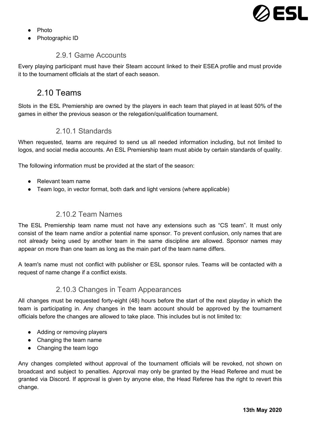

- Photo
- <span id="page-13-0"></span>Photographic ID

### 2.9.1 Game Accounts

<span id="page-13-1"></span>Every playing participant must have their Steam account linked to their ESEA profile and must provide it to the tournament officials at the start of each season.

## 2.10 Teams

<span id="page-13-2"></span>Slots in the ESL Premiership are owned by the players in each team that played in at least 50% of the games in either the previous season or the relegation/qualification tournament.

### 2.10.1 Standards

When requested, teams are required to send us all needed information including, but not limited to logos, and social media accounts. An ESL Premiership team must abide by certain standards of quality.

The following information must be provided at the start of the season:

- Relevant team name
- <span id="page-13-3"></span>• Team logo, in vector format, both dark and light versions (where applicable)

### 2.10.2 Team Names

The ESL Premiership team name must not have any extensions such as "CS team". It must only consist of the team name and/or a potential name sponsor. To prevent confusion, only names that are not already being used by another team in the same discipline are allowed. Sponsor names may appear on more than one team as long as the main part of the team name differs.

<span id="page-13-4"></span>A team's name must not conflict with publisher or ESL sponsor rules. Teams will be contacted with a request of name change if a conflict exists.

### 2.10.3 Changes in Team Appearances

All changes must be requested forty-eight (48) hours before the start of the next playday in which the team is participating in. Any changes in the team account should be approved by the tournament officials before the changes are allowed to take place. This includes but is not limited to:

- Adding or removing players
- Changing the team name
- Changing the team logo

Any changes completed without approval of the tournament officials will be revoked, not shown on broadcast and subject to penalties. Approval may only be granted by the Head Referee and must be granted via Discord. If approval is given by anyone else, the Head Referee has the right to revert this change.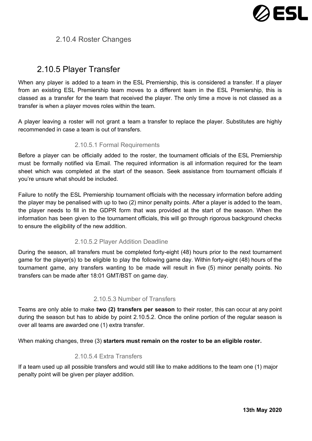

## <span id="page-14-1"></span>2.10.4 Roster Changes

## <span id="page-14-0"></span>2.10.5 Player Transfer

When any player is added to a team in the ESL Premiership, this is considered a transfer. If a player from an existing ESL Premiership team moves to a different team in the ESL Premiership, this is classed as a transfer for the team that received the player. The only time a move is not classed as a transfer is when a player moves roles within the team.

<span id="page-14-2"></span>A player leaving a roster will not grant a team a transfer to replace the player. Substitutes are highly recommended in case a team is out of transfers.

#### 2.10.5.1 Formal Requirements

Before a player can be officially added to the roster, the tournament officials of the ESL Premiership must be formally notified via Email. The required information is all information required for the team sheet which was completed at the start of the season. Seek assistance from tournament officials if you're unsure what should be included.

Failure to notify the ESL Premiership tournament officials with the necessary information before adding the player may be penalised with up to two (2) minor penalty points. After a player is added to the team, the player needs to fill in the GDPR form that was provided at the start of the season. When the information has been given to the tournament officials, this will go through rigorous background checks to ensure the eligibility of the new addition.

### 2.10.5.2 Player Addition Deadline

<span id="page-14-3"></span>During the season, all transfers must be completed forty-eight (48) hours prior to the next tournament game for the player(s) to be eligible to play the following game day. Within forty-eight (48) hours of the tournament game, any transfers wanting to be made will result in five (5) minor penalty points. No transfers can be made after 18:01 GMT/BST on game day.

#### 2.10.5.3 Number of Transfers

<span id="page-14-4"></span>Teams are only able to make **two (2) transfers per season** to their roster, this can occur at any point during the season but has to abide by point 2.10.5.2. Once the online portion of the regular season is over all teams are awarded one (1) extra transfer.

When making changes, three (3) **starters must remain on the roster to be an eligible roster.**

### 2.10.5.4 Extra Transfers

If a team used up all possible transfers and would still like to make additions to the team one (1) major penalty point will be given per player addition.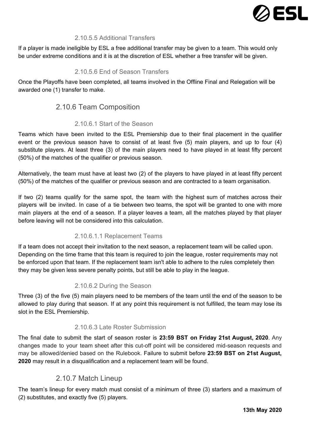

### 2.10.5.5 Additional Transfers

<span id="page-15-0"></span>If a player is made ineligible by ESL a free additional transfer may be given to a team. This would only be under extreme conditions and it is at the discretion of ESL whether a free transfer will be given.

### 2.10.5.6 End of Season Transfers

<span id="page-15-1"></span>Once the Playoffs have been completed, all teams involved in the Offline Final and Relegation will be awarded one (1) transfer to make.

### 2.10.6 Team Composition

### 2.10.6.1 Start of the Season

<span id="page-15-2"></span>Teams which have been invited to the ESL Premiership due to their final placement in the qualifier event or the previous season have to consist of at least five (5) main players, and up to four (4) substitute players. At least three (3) of the main players need to have played in at least fifty percent (50%) of the matches of the qualifier or previous season.

Alternatively, the team must have at least two (2) of the players to have played in at least fifty percent (50%) of the matches of the qualifier or previous season and are contracted to a team organisation.

If two (2) teams qualify for the same spot, the team with the highest sum of matches across their players will be invited. In case of a tie between two teams, the spot will be granted to one with more main players at the end of a season. If a player leaves a team, all the matches played by that player before leaving will not be considered into this calculation.

### 2.10.6.1.1 Replacement Teams

<span id="page-15-3"></span>If a team does not accept their invitation to the next season, a replacement team will be called upon. Depending on the time frame that this team is required to join the league, roster requirements may not be enforced upon that team. If the replacement team isn't able to adhere to the rules completely then they may be given less severe penalty points, but still be able to play in the league.

### 2.10.6.2 During the Season

<span id="page-15-4"></span>Three (3) of the five (5) main players need to be members of the team until the end of the season to be allowed to play during that season. If at any point this requirement is not fulfilled, the team may lose its slot in the ESL Premiership.

### 2.10.6.3 Late Roster Submission

<span id="page-15-5"></span>The final date to submit the start of season roster is **23:59 BST on Friday 21st August, 2020**. Any changes made to your team sheet after this cut-off point will be considered mid-season requests and may be allowed/denied based on the Rulebook. Failure to submit before **23:59 BST on 21st August, 2020** may result in a disqualification and a replacement team will be found.

### 2.10.7 Match Lineup

<span id="page-15-6"></span>The team's lineup for every match must consist of a minimum of three (3) starters and a maximum of (2) substitutes, and exactly five (5) players.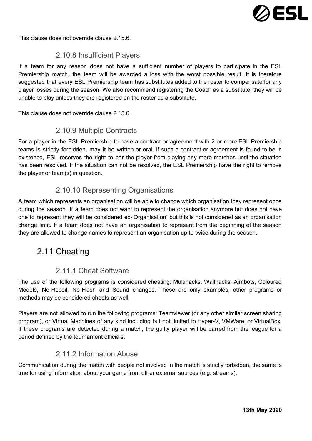

<span id="page-16-0"></span>This clause does not override clause 2.15.6.

### 2.10.8 Insufficient Players

If a team for any reason does not have a sufficient number of players to participate in the ESL Premiership match, the team will be awarded a loss with the worst possible result. It is therefore suggested that every ESL Premiership team has substitutes added to the roster to compensate for any player losses during the season. We also recommend registering the Coach as a substitute, they will be unable to play unless they are registered on the roster as a substitute.

<span id="page-16-1"></span>This clause does not override clause 2.15.6.

### 2.10.9 Multiple Contracts

For a player in the ESL Premiership to have a contract or agreement with 2 or more ESL Premiership teams is strictly forbidden, may it be written or oral. If such a contract or agreement is found to be in existence, ESL reserves the right to bar the player from playing any more matches until the situation has been resolved. If the situation can not be resolved, the ESL Premiership have the right to remove the player or team(s) in question.

### 2.10.10 Representing Organisations

<span id="page-16-2"></span>A team which represents an organisation will be able to change which organisation they represent once during the season. If a team does not want to represent the organisation anymore but does not have one to represent they will be considered ex-'Organisation' but this is not considered as an organisation change limit. If a team does not have an organisation to represent from the beginning of the season they are allowed to change names to represent an organisation up to twice during the season.

## <span id="page-16-3"></span>2.11 Cheating

### 2.11.1 Cheat Software

<span id="page-16-4"></span>The use of the following programs is considered cheating: Multihacks, Wallhacks, Aimbots, Coloured Models, No-Recoil, No-Flash and Sound changes. These are only examples, other programs or methods may be considered cheats as well.

Players are not allowed to run the following programs: Teamviewer (or any other similar screen sharing program), or Virtual Machines of any kind including but not limited to Hyper-V, VMWare, or VirtualBox. If these programs are detected during a match, the guilty player will be barred from the league for a period defined by the tournament officials.

### 2.11.2 Information Abuse

<span id="page-16-5"></span>Communication during the match with people not involved in the match is strictly forbidden, the same is true for using information about your game from other external sources (e.g. streams).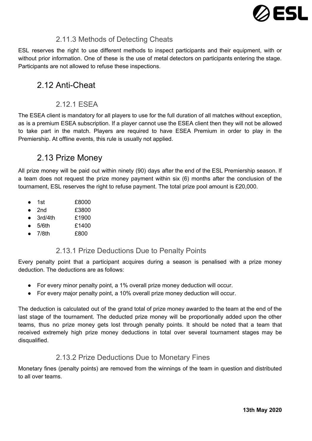

## 2.11.3 Methods of Detecting Cheats

<span id="page-17-0"></span>ESL reserves the right to use different methods to inspect participants and their equipment, with or without prior information. One of these is the use of metal detectors on participants entering the stage. Participants are not allowed to refuse these inspections.

# <span id="page-17-1"></span>2.12 Anti-Cheat

## 2.12.1 ESEA

<span id="page-17-2"></span>The ESEA client is mandatory for all players to use for the full duration of all matches without exception, as is a premium ESEA subscription. If a player cannot use the ESEA client then they will not be allowed to take part in the match. Players are required to have ESEA Premium in order to play in the Premiership. At offline events, this rule is usually not applied.

## <span id="page-17-3"></span>2.13 Prize Money

All prize money will be paid out within ninety (90) days after the end of the ESL Premiership season. If a team does not request the prize money payment within six (6) months after the conclusion of the tournament, ESL reserves the right to refuse payment. The total prize pool amount is £20,000.

- $\bullet$  1st  $\qquad$   $f8000$
- 2nd £3800
- 3rd/4th £1900
- $\bullet$  5/6th  $\uparrow$  51400
- <span id="page-17-4"></span>● 7/8th £800

## 2.13.1 Prize Deductions Due to Penalty Points

Every penalty point that a participant acquires during a season is penalised with a prize money deduction. The deductions are as follows:

- For every minor penalty point, a 1% overall prize money deduction will occur.
- For every major penalty point, a 10% overall prize money deduction will occur.

The deduction is calculated out of the grand total of prize money awarded to the team at the end of the last stage of the tournament. The deducted prize money will be proportionally added upon the other teams, thus no prize money gets lost through penalty points. It should be noted that a team that received extremely high prize money deductions in total over several tournament stages may be disqualified.

### 2.13.2 Prize Deductions Due to Monetary Fines

<span id="page-17-5"></span>Monetary fines (penalty points) are removed from the winnings of the team in question and distributed to all over teams.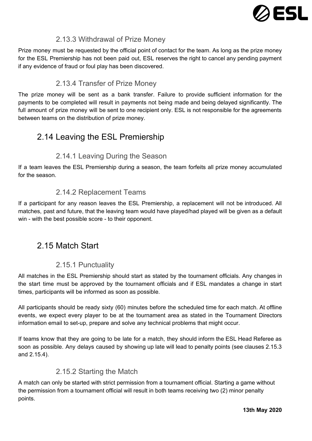

### 2.13.3 Withdrawal of Prize Money

<span id="page-18-0"></span>Prize money must be requested by the official point of contact for the team. As long as the prize money for the ESL Premiership has not been paid out, ESL reserves the right to cancel any pending payment if any evidence of fraud or foul play has been discovered.

## 2.13.4 Transfer of Prize Money

<span id="page-18-1"></span>The prize money will be sent as a bank transfer. Failure to provide sufficient information for the payments to be completed will result in payments not being made and being delayed significantly. The full amount of prize money will be sent to one recipient only. ESL is not responsible for the agreements between teams on the distribution of prize money.

# <span id="page-18-2"></span>2.14 Leaving the ESL Premiership

## 2.14.1 Leaving During the Season

<span id="page-18-4"></span><span id="page-18-3"></span>If a team leaves the ESL Premiership during a season, the team forfeits all prize money accumulated for the season.

## 2.14.2 Replacement Teams

If a participant for any reason leaves the ESL Premiership, a replacement will not be introduced. All matches, past and future, that the leaving team would have played/had played will be given as a default win - with the best possible score - to their opponent.

# <span id="page-18-5"></span>2.15 Match Start

## 2.15.1 Punctuality

<span id="page-18-6"></span>All matches in the ESL Premiership should start as stated by the tournament officials. Any changes in the start time must be approved by the tournament officials and if ESL mandates a change in start times, participants will be informed as soon as possible.

All participants should be ready sixty (60) minutes before the scheduled time for each match. At offline events, we expect every player to be at the tournament area as stated in the Tournament Directors information email to set-up, prepare and solve any technical problems that might occur.

If teams know that they are going to be late for a match, they should inform the ESL Head Referee as soon as possible. Any delays caused by showing up late will lead to penalty points (see clauses 2.15.3 and 2.15.4).

## 2.15.2 Starting the Match

<span id="page-18-7"></span>A match can only be started with strict permission from a tournament official. Starting a game without the permission from a tournament official will result in both teams receiving two (2) minor penalty points.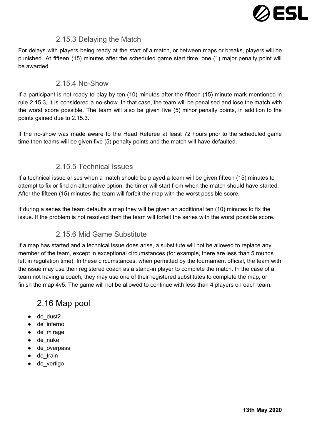

### 2.15.3 Delaying the Match

<span id="page-19-0"></span>For delays with players being ready at the start of a match, or between maps or breaks, players will be punished. At fifteen (15) minutes after the scheduled game start time, one (1) major penalty point will be awarded.

### 2.15.4 No-Show

<span id="page-19-1"></span>If a participant is not ready to play by ten (10) minutes after the fifteen (15) minute mark mentioned in rule 2.15.3, it is considered a no-show. In that case, the team will be penalised and lose the match with the worst score possible. The team will also be given five (5) minor penalty points, in addition to the points gained due to 2.15.3.

If the no-show was made aware to the Head Referee at least 72 hours prior to the scheduled game time then teams will be given five (5) penalty points and the match will have defaulted.

### 2.15.5 Technical Issues

<span id="page-19-2"></span>If a technical issue arises when a match should be played a team will be given fifteen (15) minutes to attempt to fix or find an alternative option, the timer will start from when the match should have started. After the fifteen (15) minutes the team will forfeit the map with the worst possible score.

<span id="page-19-3"></span>If during a series the team defaults a map they will be given an additional ten (10) minutes to fix the issue. If the problem is not resolved then the team will forfeit the series with the worst possible score.

## 2.15.6 Mid Game Substitute

If a map has started and a technical issue does arise, a substitute will not be allowed to replace any member of the team, except in exceptional circumstances (for example, there are less than 5 rounds left in regulation time). In these circumstances, when permitted by the tournament official, the team with the issue may use their registered coach as a stand-in player to complete the match. In the case of a team not having a coach, they may use one of their registered substitutes to complete the map, or finish the map 4v5. The game will not be allowed to continue with less than 4 players on each team.

# <span id="page-19-4"></span>2.16 Map pool

- de dust2
- de\_inferno
- de\_mirage
- de nuke
- de\_overpass
- de\_train
- de\_vertigo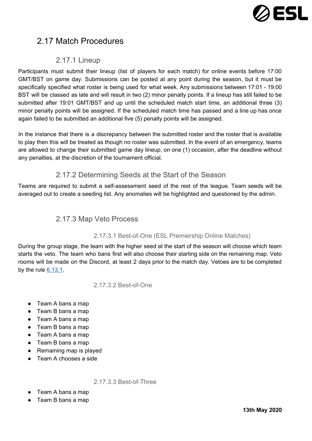

# <span id="page-20-0"></span>2.17 Match Procedures

### 2.17.1 Lineup

<span id="page-20-1"></span>Participants must submit their lineup (list of players for each match) for online events before 17:00 GMT/BST on game day. Submissions can be posted at any point during the season, but it must be specifically specified what roster is being used for what week. Any submissions between 17:01 - 19:00 BST will be classed as late and will result in two (2) minor penalty points. If a lineup has still failed to be submitted after 19:01 GMT/BST and up until the scheduled match start time, an additional three (3) minor penalty points will be assigned. If the scheduled match time has passed and a line up has once again failed to be submitted an additional five (5) penalty points will be assigned.

In the instance that there is a discrepancy between the submitted roster and the roster that is available to play then this will be treated as though no roster was submitted. In the event of an emergency, teams are allowed to change their submitted game day lineup, on one (1) occasion, after the deadline without any penalties, at the discretion of the tournament official.

### 2.17.2 Determining Seeds at the Start of the Season

<span id="page-20-3"></span><span id="page-20-2"></span>Teams are required to submit a self-assessment seed of the rest of the league. Team seeds will be averaged out to create a seeding list. Any anomalies will be highlighted and questioned by the admin.

### 2.17.3 Map Veto Process

### 2.17.3.1 Best-of-One (ESL Premiership Online Matches)

<span id="page-20-4"></span>During the group stage, the team with the higher seed at the start of the season will choose which team starts the veto. The team who bans first will also choose their starting side on the remaining map. Veto rooms will be made on the Discord, at least 2 days prior to the match day. Vetoes are to be completed by the rule  $6.13.1$ .

2.17.3.2 Best-of-One

- <span id="page-20-5"></span>● Team A bans a map
- Team B bans a map
- Team A bans a map
- Team B bans a map
- Team A bans a map
- Team B bans a map
- Remaining map is played
- <span id="page-20-6"></span>● Team A chooses a side

2.17.3.3 Best-of-Three

- Team A bans a map
- Team B bans a map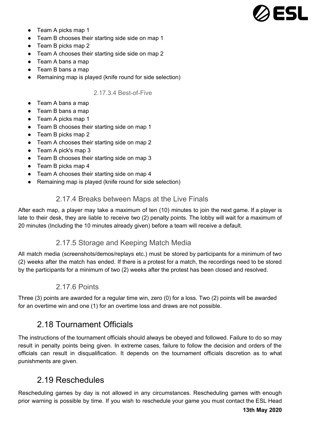

- Team A picks map 1
- Team B chooses their starting side side on map 1
- Team B picks map 2
- Team A chooses their starting side side on map 2
- Team A bans a map
- Team B bans a map
- <span id="page-21-0"></span>● Remaining map is played (knife round for side selection)

#### 2.17.3.4 Best-of-Five

- Team A bans a map
- Team B bans a map
- Team A picks map 1
- Team B chooses their starting side on map 1
- Team B picks map 2
- Team A chooses their starting side on map 2
- Team A pick's map 3
- Team B chooses their starting side on map 3
- Team B picks map 4
- Team A chooses their starting side on map 4
- <span id="page-21-1"></span>● Remaining map is played (knife round for side selection)

### 2.17.4 Breaks between Maps at the Live Finals

After each map, a player may take a maximum of ten (10) minutes to join the next game. If a player is late to their desk, they are liable to receive two (2) penalty points. The lobby will wait for a maximum of 20 minutes (Including the 10 minutes already given) before a team will receive a default.

### 2.17.5 Storage and Keeping Match Media

<span id="page-21-2"></span>All match media (screenshots/demos/replays etc.) must be stored by participants for a minimum of two (2) weeks after the match has ended. If there is a protest for a match, the recordings need to be stored by the participants for a minimum of two (2) weeks after the protest has been closed and resolved.

### 2.17.6 Points

<span id="page-21-4"></span><span id="page-21-3"></span>Three (3) points are awarded for a regular time win, zero (0) for a loss. Two (2) points will be awarded for an overtime win and one (1) for an overtime loss and draws are not possible.

## 2.18 Tournament Officials

The instructions of the tournament officials should always be obeyed and followed. Failure to do so may result in penalty points being given. In extreme cases, failure to follow the decision and orders of the officials can result in disqualification. It depends on the tournament officials discretion as to what punishments are given.

## <span id="page-21-5"></span>2.19 Reschedules

Rescheduling games by day is not allowed in any circumstances. Rescheduling games with enough prior warning is possible by time. If you wish to reschedule your game you must contact the ESL Head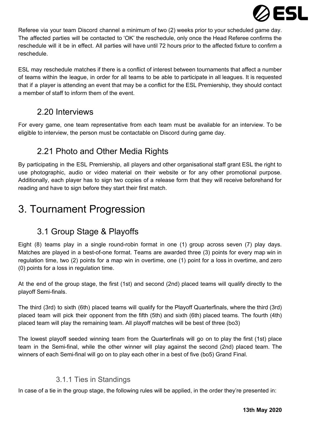

Referee via your team Discord channel a minimum of two (2) weeks prior to your scheduled game day. The affected parties will be contacted to 'OK' the reschedule, only once the Head Referee confirms the reschedule will it be in effect. All parties will have until 72 hours prior to the affected fixture to confirm a reschedule.

ESL may reschedule matches if there is a conflict of interest between tournaments that affect a number of teams within the league, in order for all teams to be able to participate in all leagues. It is requested that if a player is attending an event that may be a conflict for the ESL Premiership, they should contact a member of staff to inform them of the event.

## <span id="page-22-0"></span>2.20 Interviews

<span id="page-22-1"></span>For every game, one team representative from each team must be available for an interview. To be eligible to interview, the person must be contactable on Discord during game day.

# 2.21 Photo and Other Media Rights

By participating in the ESL Premiership, all players and other organisational staff grant ESL the right to use photographic, audio or video material on their website or for any other promotional purpose. Additionally, each player has to sign two copies of a release form that they will receive beforehand for reading and have to sign before they start their first match.

# <span id="page-22-3"></span><span id="page-22-2"></span>3. Tournament Progression

# 3.1 Group Stage & Playoffs

Eight (8) teams play in a single round-robin format in one (1) group across seven (7) play days. Matches are played in a best-of-one format. Teams are awarded three (3) points for every map win in regulation time, two (2) points for a map win in overtime, one (1) point for a loss in overtime, and zero (0) points for a loss in regulation time.

At the end of the group stage, the first (1st) and second (2nd) placed teams will qualify directly to the playoff Semi-finals.

The third (3rd) to sixth (6th) placed teams will qualify for the Playoff Quarterfinals, where the third (3rd) placed team will pick their opponent from the fifth (5th) and sixth (6th) placed teams. The fourth (4th) placed team will play the remaining team. All playoff matches will be best of three (bo3)

The lowest playoff seeded winning team from the Quarterfinals will go on to play the first (1st) place team in the Semi-final, while the other winner will play against the second (2nd) placed team. The winners of each Semi-final will go on to play each other in a best of five (bo5) Grand Final.

## 3.1.1 Ties in Standings

<span id="page-22-4"></span>In case of a tie in the group stage, the following rules will be applied, in the order they're presented in: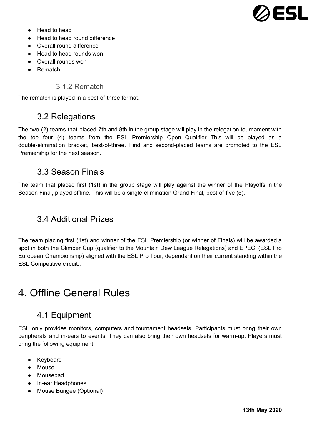

- Head to head
- Head to head round difference
- Overall round difference
- Head to head rounds won
- Overall rounds won
- <span id="page-23-0"></span>● Rematch

### 3.1.2 Rematch

<span id="page-23-1"></span>The rematch is played in a best-of-three format.

## 3.2 Relegations

The two (2) teams that placed 7th and 8th in the group stage will play in the relegation tournament with the top four (4) teams from the ESL Premiership Open Qualifier This will be played as a double-elimination bracket, best-of-three. First and second-placed teams are promoted to the ESL Premiership for the next season.

## <span id="page-23-2"></span>3.3 Season Finals

The team that placed first (1st) in the group stage will play against the winner of the Playoffs in the Season Final, played offline. This will be a single-elimination Grand Final, best-of-five (5).

## <span id="page-23-3"></span>3.4 Additional Prizes

The team placing first (1st) and winner of the ESL Premiership (or winner of Finals) will be awarded a spot in both the Climber Cup (qualifier to the Mountain Dew League Relegations) and EPEC, (ESL Pro European Championship) aligned with the ESL Pro Tour, dependant on their current standing within the ESL Competitive circuit..

# <span id="page-23-5"></span><span id="page-23-4"></span>4. Offline General Rules

## 4.1 Equipment

ESL only provides monitors, computers and tournament headsets. Participants must bring their own peripherals and in-ears to events. They can also bring their own headsets for warm-up. Players must bring the following equipment:

- Keyboard
- Mouse
- Mousepad
- In-ear Headphones
- Mouse Bungee (Optional)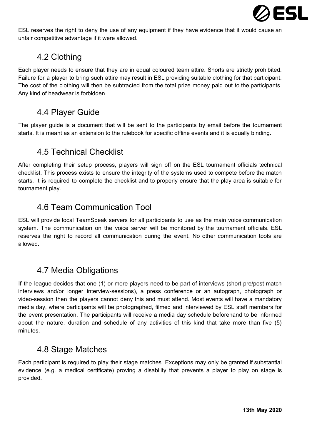

<span id="page-24-0"></span>ESL reserves the right to deny the use of any equipment if they have evidence that it would cause an unfair competitive advantage if it were allowed.

# 4.2 Clothing

Each player needs to ensure that they are in equal coloured team attire. Shorts are strictly prohibited. Failure for a player to bring such attire may result in ESL providing suitable clothing for that participant. The cost of the clothing will then be subtracted from the total prize money paid out to the participants. Any kind of headwear is forbidden.

## <span id="page-24-1"></span>4.4 Player Guide

<span id="page-24-2"></span>The player guide is a document that will be sent to the participants by email before the tournament starts. It is meant as an extension to the rulebook for specific offline events and it is equally binding.

## 4.5 Technical Checklist

After completing their setup process, players will sign off on the ESL tournament officials technical checklist. This process exists to ensure the integrity of the systems used to compete before the match starts. It is required to complete the checklist and to properly ensure that the play area is suitable for tournament play.

# <span id="page-24-3"></span>4.6 Team Communication Tool

ESL will provide local TeamSpeak servers for all participants to use as the main voice communication system. The communication on the voice server will be monitored by the tournament officials. ESL reserves the right to record all communication during the event. No other communication tools are allowed.

## <span id="page-24-4"></span>4.7 Media Obligations

If the league decides that one (1) or more players need to be part of interviews (short pre/post-match interviews and/or longer interview-sessions), a press conference or an autograph, photograph or video-session then the players cannot deny this and must attend. Most events will have a mandatory media day, where participants will be photographed, filmed and interviewed by ESL staff members for the event presentation. The participants will receive a media day schedule beforehand to be informed about the nature, duration and schedule of any activities of this kind that take more than five (5) minutes.

## <span id="page-24-5"></span>4.8 Stage Matches

Each participant is required to play their stage matches. Exceptions may only be granted if substantial evidence (e.g. a medical certificate) proving a disability that prevents a player to play on stage is provided.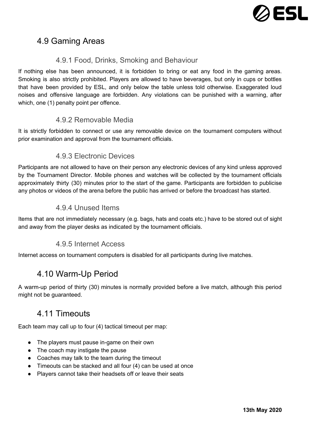

# <span id="page-25-0"></span>4.9 Gaming Areas

### 4.9.1 Food, Drinks, Smoking and Behaviour

<span id="page-25-1"></span>If nothing else has been announced, it is forbidden to bring or eat any food in the gaming areas. Smoking is also strictly prohibited. Players are allowed to have beverages, but only in cups or bottles that have been provided by ESL, and only below the table unless told otherwise. Exaggerated loud noises and offensive language are forbidden. Any violations can be punished with a warning, after which, one (1) penalty point per offence.

### 4.9.2 Removable Media

<span id="page-25-3"></span><span id="page-25-2"></span>It is strictly forbidden to connect or use any removable device on the tournament computers without prior examination and approval from the tournament officials.

### 4.9.3 Electronic Devices

Participants are not allowed to have on their person any electronic devices of any kind unless approved by the Tournament Director. Mobile phones and watches will be collected by the tournament officials approximately thirty (30) minutes prior to the start of the game. Participants are forbidden to publicise any photos or videos of the arena before the public has arrived or before the broadcast has started.

### 4.9.4 Unused Items

<span id="page-25-5"></span><span id="page-25-4"></span>Items that are not immediately necessary (e.g. bags, hats and coats etc.) have to be stored out of sight and away from the player desks as indicated by the tournament officials.

### 4.9.5 Internet Access

<span id="page-25-6"></span>Internet access on tournament computers is disabled for all participants during live matches.

## 4.10 Warm-Up Period

<span id="page-25-7"></span>A warm-up period of thirty (30) minutes is normally provided before a live match, although this period might not be guaranteed.

## 4.11 Timeouts

Each team may call up to four (4) tactical timeout per map:

- The players must pause in-game on their own
- The coach may instigate the pause
- Coaches may talk to the team during the timeout
- Timeouts can be stacked and all four (4) can be used at once
- Players cannot take their headsets off or leave their seats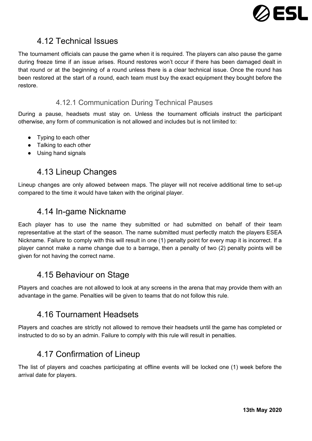

# <span id="page-26-0"></span>4.12 Technical Issues

The tournament officials can pause the game when it is required. The players can also pause the game during freeze time if an issue arises. Round restores won't occur if there has been damaged dealt in that round or at the beginning of a round unless there is a clear technical issue. Once the round has been restored at the start of a round, each team must buy the exact equipment they bought before the restore.

### 4.12.1 Communication During Technical Pauses

<span id="page-26-1"></span>During a pause, headsets must stay on. Unless the tournament officials instruct the participant otherwise, any form of communication is not allowed and includes but is not limited to:

- Typing to each other
- Talking to each other
- <span id="page-26-2"></span>● Using hand signals

## 4.13 Lineup Changes

<span id="page-26-3"></span>Lineup changes are only allowed between maps. The player will not receive additional time to set-up compared to the time it would have taken with the original player.

## 4.14 In-game Nickname

Each player has to use the name they submitted or had submitted on behalf of their team representative at the start of the season. The name submitted must perfectly match the players ESEA Nickname. Failure to comply with this will result in one (1) penalty point for every map it is incorrect. If a player cannot make a name change due to a barrage, then a penalty of two (2) penalty points will be given for not having the correct name.

# <span id="page-26-4"></span>4.15 Behaviour on Stage

<span id="page-26-5"></span>Players and coaches are not allowed to look at any screens in the arena that may provide them with an advantage in the game. Penalties will be given to teams that do not follow this rule.

## 4.16 Tournament Headsets

<span id="page-26-6"></span>Players and coaches are strictly not allowed to remove their headsets until the game has completed or instructed to do so by an admin. Failure to comply with this rule will result in penalties.

# 4.17 Confirmation of Lineup

The list of players and coaches participating at offline events will be locked one (1) week before the arrival date for players.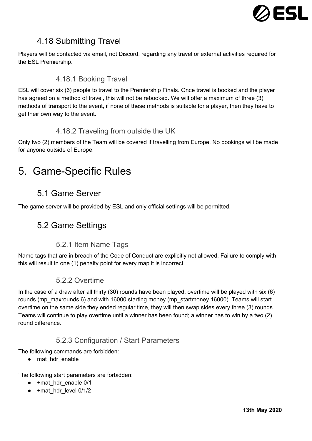

# <span id="page-27-0"></span>4.18 Submitting Travel

<span id="page-27-1"></span>Players will be contacted via email, not Discord, regarding any travel or external activities required for the ESL Premiership.

### 4.18.1 Booking Travel

ESL will cover six (6) people to travel to the Premiership Finals. Once travel is booked and the player has agreed on a method of travel, this will not be rebooked. We will offer a maximum of three (3) methods of transport to the event, if none of these methods is suitable for a player, then they have to get their own way to the event.

### 4.18.2 Traveling from outside the UK

<span id="page-27-2"></span>Only two (2) members of the Team will be covered if travelling from Europe. No bookings will be made for anyone outside of Europe.

# <span id="page-27-4"></span><span id="page-27-3"></span>5. Game-Specific Rules

## 5.1 Game Server

<span id="page-27-5"></span>The game server will be provided by ESL and only official settings will be permitted.

## 5.2 Game Settings

### 5.2.1 Item Name Tags

<span id="page-27-7"></span><span id="page-27-6"></span>Name tags that are in breach of the Code of Conduct are explicitly not allowed. Failure to comply with this will result in one (1) penalty point for every map it is incorrect.

### 5.2.2 Overtime

In the case of a draw after all thirty (30) rounds have been played, overtime will be played with six (6) rounds (mp\_maxrounds 6) and with 16000 starting money (mp\_startmoney 16000). Teams will start overtime on the same side they ended regular time, they will then swap sides every three (3) rounds. Teams will continue to play overtime until a winner has been found; a winner has to win by a two (2) round difference.

### 5.2.3 Configuration / Start Parameters

<span id="page-27-8"></span>The following commands are forbidden:

● mat\_hdr\_enable

The following start parameters are forbidden:

- +mat hdr enable 0/1
- +mat\_hdr\_level 0/1/2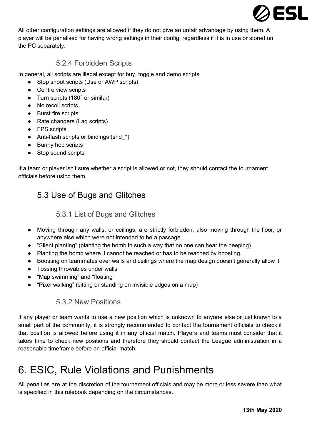

All other configuration settings are allowed if they do not give an unfair advantage by using them. A player will be penalised for having wrong settings in their config, regardless if it is in use or stored on the PC separately.

### 5.2.4 Forbidden Scripts

<span id="page-28-0"></span>In general, all scripts are illegal except for buy, toggle and demo scripts

- Stop shoot scripts (Use or AWP scripts)
- Centre view scripts
- Turn scripts (180° or similar)
- No recoil scripts
- Burst fire scripts
- Rate changers (Lag scripts)
- FPS scripts
- Anti-flash scripts or bindings (snd  $*$ )
- Bunny hop scripts
- Stop sound scripts

<span id="page-28-1"></span>If a team or player isn't sure whether a script is allowed or not, they should contact the tournament officials before using them.

# <span id="page-28-2"></span>5.3 Use of Bugs and Glitches

### 5.3.1 List of Bugs and Glitches

- Moving through any walls, or ceilings, are strictly forbidden, also moving through the floor, or anywhere else which were not intended to be a passage
- "Silent planting" (planting the bomb in such a way that no one can hear the beeping)
- Planting the bomb where it cannot be reached or has to be reached by boosting.
- Boosting on teammates over walls and ceilings where the map design doesn't generally allow it
- Tossing throwables under walls
- "Map swimming" and "floating"
- <span id="page-28-3"></span>● "Pixel walking" (sitting or standing on invisible edges on a map)

### 5.3.2 New Positions

If any player or team wants to use a new position which is unknown to anyone else or just known to a small part of the community, it is strongly recommended to contact the tournament officials to check if that position is allowed before using it in any official match. Players and teams must consider that it takes time to check new positions and therefore they should contact the League administration in a reasonable timeframe before an official match.

# <span id="page-28-4"></span>6. ESIC, Rule Violations and Punishments

All penalties are at the discretion of the tournament officials and may be more or less severe than what is specified in this rulebook depending on the circumstances.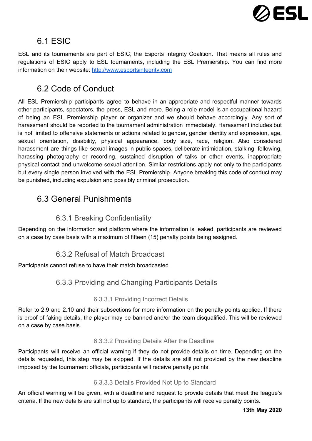

# <span id="page-29-0"></span>6.1 ESIC

ESL and its tournaments are part of ESIC, the Esports Integrity Coalition. That means all rules and regulations of ESIC apply to ESL tournaments, including the ESL Premiership. You can find more information on their website: [http://www.esportsintegrity.com](http://www.esportsintegrity.com/)

# <span id="page-29-1"></span>6.2 Code of Conduct

All ESL Premiership participants agree to behave in an appropriate and respectful manner towards other participants, spectators, the press, ESL and more. Being a role model is an occupational hazard of being an ESL Premiership player or organizer and we should behave accordingly. Any sort of harassment should be reported to the tournament administration immediately. Harassment includes but is not limited to offensive statements or actions related to gender, gender identity and expression, age, sexual orientation, disability, physical appearance, body size, race, religion. Also considered harassment are things like sexual images in public spaces, deliberate intimidation, stalking, following, harassing photography or recording, sustained disruption of talks or other events, inappropriate physical contact and unwelcome sexual attention. Similar restrictions apply not only to the participants but every single person involved with the ESL Premiership. Anyone breaking this code of conduct may be punished, including expulsion and possibly criminal prosecution.

## <span id="page-29-2"></span>6.3 General Punishments

### 6.3.1 Breaking Confidentiality

<span id="page-29-4"></span><span id="page-29-3"></span>Depending on the information and platform where the information is leaked, participants are reviewed on a case by case basis with a maximum of fifteen (15) penalty points being assigned.

## 6.3.2 Refusal of Match Broadcast

<span id="page-29-5"></span>Participants cannot refuse to have their match broadcasted.

## 6.3.3 Providing and Changing Participants Details

### 6.3.3.1 Providing Incorrect Details

<span id="page-29-6"></span>Refer to 2.9 and 2.10 and their subsections for more information on the penalty points applied. If there is proof of faking details, the player may be banned and/or the team disqualified. This will be reviewed on a case by case basis.

### 6.3.3.2 Providing Details After the Deadline

<span id="page-29-7"></span>Participants will receive an official warning if they do not provide details on time. Depending on the details requested, this step may be skipped. If the details are still not provided by the new deadline imposed by the tournament officials, participants will receive penalty points.

### 6.3.3.3 Details Provided Not Up to Standard

<span id="page-29-8"></span>An official warning will be given, with a deadline and request to provide details that meet the league's criteria. If the new details are still not up to standard, the participants will receive penalty points.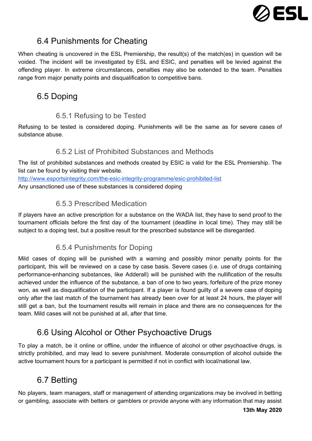

# <span id="page-30-0"></span>6.4 Punishments for Cheating

When cheating is uncovered in the ESL Premiership, the result(s) of the match(es) in question will be voided. The incident will be investigated by ESL and ESIC, and penalties will be levied against the offending player. In extreme circumstances, penalties may also be extended to the team. Penalties range from major penalty points and disqualification to competitive bans.

# <span id="page-30-1"></span>6.5 Doping

## 6.5.1 Refusing to be Tested

<span id="page-30-3"></span><span id="page-30-2"></span>Refusing to be tested is considered doping. Punishments will be the same as for severe cases of substance abuse.

## 6.5.2 List of Prohibited Substances and Methods

The list of prohibited substances and methods created by ESIC is valid for the ESL Premiership. The list can be found by visiting their website.

<span id="page-30-4"></span><http://www.esportsintegrity.com/the-esic-integrity-programme/esic-prohibited-list> Any unsanctioned use of these substances is considered doping

## 6.5.3 Prescribed Medication

If players have an active prescription for a substance on the WADA list, they have to send proof to the tournament officials before the first day of the tournament (deadline in local time). They may still be subject to a doping test, but a positive result for the prescribed substance will be disregarded.

## 6.5.4 Punishments for Doping

<span id="page-30-5"></span>Mild cases of doping will be punished with a warning and possibly minor penalty points for the participant, this will be reviewed on a case by case basis. Severe cases (i.e. use of drugs containing performance-enhancing substances, like Adderall) will be punished with the nullification of the results achieved under the influence of the substance, a ban of one to two years, forfeiture of the prize money won, as well as disqualification of the participant. If a player is found guilty of a severe case of doping only after the last match of the tournament has already been over for at least 24 hours, the player will still get a ban, but the tournament results will remain in place and there are no consequences for the team. Mild cases will not be punished at all, after that time.

# <span id="page-30-6"></span>6.6 Using Alcohol or Other Psychoactive Drugs

To play a match, be it online or offline, under the influence of alcohol or other psychoactive drugs, is strictly prohibited, and may lead to severe punishment. Moderate consumption of alcohol outside the active tournament hours for a participant is permitted if not in conflict with local/national law.

# <span id="page-30-7"></span>6.7 Betting

No players, team managers, staff or management of attending organizations may be involved in betting or gambling, associate with betters or gamblers or provide anyone with any information that may assist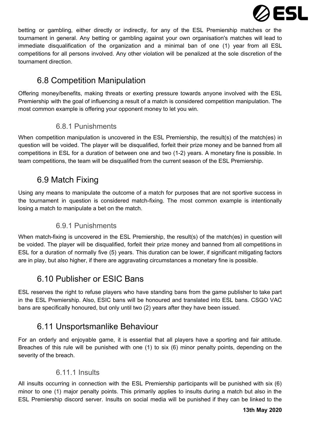

betting or gambling, either directly or indirectly, for any of the ESL Premiership matches or the tournament in general. Any betting or gambling against your own organisation's matches will lead to immediate disqualification of the organization and a minimal ban of one (1) year from all ESL competitions for all persons involved. Any other violation will be penalized at the sole discretion of the tournament direction.

# <span id="page-31-0"></span>6.8 Competition Manipulation

Offering money/benefits, making threats or exerting pressure towards anyone involved with the ESL Premiership with the goal of influencing a result of a match is considered competition manipulation. The most common example is offering your opponent money to let you win.

## 6.8.1 Punishments

<span id="page-31-1"></span>When competition manipulation is uncovered in the ESL Premiership, the result(s) of the match(es) in question will be voided. The player will be disqualified, forfeit their prize money and be banned from all competitions in ESL for a duration of between one and two (1-2) years. A monetary fine is possible. In team competitions, the team will be disqualified from the current season of the ESL Premiership.

# <span id="page-31-2"></span>6.9 Match Fixing

Using any means to manipulate the outcome of a match for purposes that are not sportive success in the tournament in question is considered match-fixing. The most common example is intentionally losing a match to manipulate a bet on the match.

## 6.9.1 Punishments

<span id="page-31-3"></span>When match-fixing is uncovered in the ESL Premiership, the result(s) of the match(es) in question will be voided. The player will be disqualified, forfeit their prize money and banned from all competitions in ESL for a duration of normally five (5) years. This duration can be lower, if significant mitigating factors are in play, but also higher, if there are aggravating circumstances a monetary fine is possible.

# <span id="page-31-4"></span>6.10 Publisher or ESIC Bans

ESL reserves the right to refuse players who have standing bans from the game publisher to take part in the ESL Premiership. Also, ESIC bans will be honoured and translated into ESL bans. CSGO VAC bans are specifically honoured, but only until two (2) years after they have been issued.

# <span id="page-31-5"></span>6.11 Unsportsmanlike Behaviour

For an orderly and enjoyable game, it is essential that all players have a sporting and fair attitude. Breaches of this rule will be punished with one (1) to six (6) minor penalty points, depending on the severity of the breach.

## 6.11.1 Insults

All insults occurring in connection with the ESL Premiership participants will be punished with six (6) minor to one (1) major penalty points. This primarily applies to insults during a match but also in the ESL Premiership discord server. Insults on social media will be punished if they can be linked to the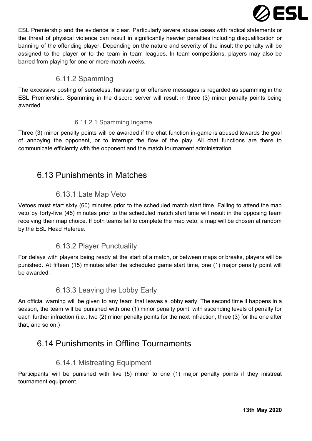

ESL Premiership and the evidence is clear. Particularly severe abuse cases with radical statements or the threat of physical violence can result in significantly heavier penalties including disqualification or banning of the offending player. Depending on the nature and severity of the insult the penalty will be assigned to the player or to the team in team leagues. In team competitions, players may also be barred from playing for one or more match weeks.

### 6.11.2 Spamming

<span id="page-32-0"></span>The excessive posting of senseless, harassing or offensive messages is regarded as spamming in the ESL Premiership. Spamming in the discord server will result in three (3) minor penalty points being awarded.

### 6.11.2.1 Spamming Ingame

<span id="page-32-1"></span>Three (3) minor penalty points will be awarded if the chat function in-game is abused towards the goal of annoying the opponent, or to interrupt the flow of the play. All chat functions are there to communicate efficiently with the opponent and the match tournament administration

# <span id="page-32-2"></span>6.13 Punishments in Matches

### 6.13.1 Late Map Veto

<span id="page-32-3"></span>Vetoes must start sixty (60) minutes prior to the scheduled match start time. Failing to attend the map veto by forty-five (45) minutes prior to the scheduled match start time will result in the opposing team receiving their map choice. If both teams fail to complete the map veto, a map will be chosen at random by the ESL Head Referee.

### 6.13.2 Player Punctuality

<span id="page-32-4"></span>For delays with players being ready at the start of a match, or between maps or breaks, players will be punished. At fifteen (15) minutes after the scheduled game start time, one (1) major penalty point will be awarded.

### 6.13.3 Leaving the Lobby Early

<span id="page-32-5"></span>An official warning will be given to any team that leaves a lobby early. The second time it happens in a season, the team will be punished with one (1) minor penalty point, with ascending levels of penalty for each further infraction (i.e., two (2) minor penalty points for the next infraction, three (3) for the one after that, and so on.)

## <span id="page-32-6"></span>6.14 Punishments in Offline Tournaments

### 6.14.1 Mistreating Equipment

<span id="page-32-7"></span>Participants will be punished with five (5) minor to one (1) major penalty points if they mistreat tournament equipment.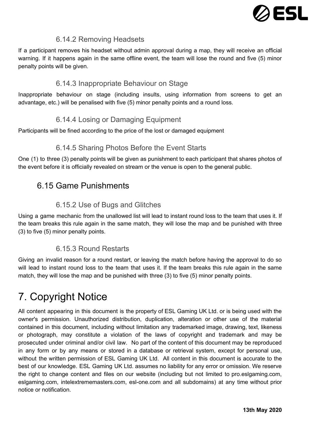

### 6.14.2 Removing Headsets

<span id="page-33-0"></span>If a participant removes his headset without admin approval during a map, they will receive an official warning. If it happens again in the same offline event, the team will lose the round and five (5) minor penalty points will be given.

### 6.14.3 Inappropriate Behaviour on Stage

<span id="page-33-2"></span><span id="page-33-1"></span>Inappropriate behaviour on stage (including insults, using information from screens to get an advantage, etc.) will be penalised with five (5) minor penalty points and a round loss.

### 6.14.4 Losing or Damaging Equipment

<span id="page-33-3"></span>Participants will be fined according to the price of the lost or damaged equipment

### 6.14.5 Sharing Photos Before the Event Starts

<span id="page-33-4"></span>One (1) to three (3) penalty points will be given as punishment to each participant that shares photos of the event before it is officially revealed on stream or the venue is open to the general public.

## 6.15 Game Punishments

## 6.15.2 Use of Bugs and Glitches

<span id="page-33-5"></span>Using a game mechanic from the unallowed list will lead to instant round loss to the team that uses it. If the team breaks this rule again in the same match, they will lose the map and be punished with three (3) to five (5) minor penalty points.

### 6.15.3 Round Restarts

<span id="page-33-6"></span>Giving an invalid reason for a round restart, or leaving the match before having the approval to do so will lead to instant round loss to the team that uses it. If the team breaks this rule again in the same match, they will lose the map and be punished with three (3) to five (5) minor penalty points.

# <span id="page-33-7"></span>7. Copyright Notice

All content appearing in this document is the property of ESL Gaming UK Ltd. or is being used with the owner's permission. Unauthorized distribution, duplication, alteration or other use of the material contained in this document, including without limitation any trademarked image, drawing, text, likeness or photograph, may constitute a violation of the laws of copyright and trademark and may be prosecuted under criminal and/or civil law. No part of the content of this document may be reproduced in any form or by any means or stored in a database or retrieval system, except for personal use, without the written permission of ESL Gaming UK Ltd. All content in this document is accurate to the best of our knowledge. ESL Gaming UK Ltd. assumes no liability for any error or omission. We reserve the right to change content and files on our website (including but not limited to pro.eslgaming.com, eslgaming.com, intelextrememasters.com, esl-one.com and all subdomains) at any time without prior notice or notification.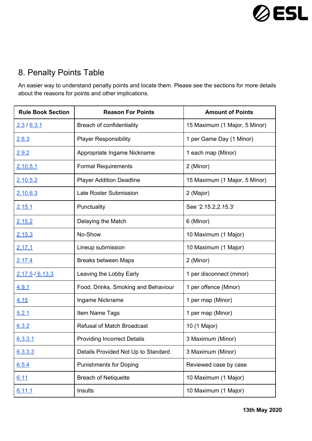

# <span id="page-34-0"></span>8. Penalty Points Table

An easier way to understand penalty points and locate them. Please see the sections for more details about the reasons for points and other implications.

| <b>Rule Book Section</b> | <b>Reason For Points</b>            | <b>Amount of Points</b>       |
|--------------------------|-------------------------------------|-------------------------------|
| <u>2.3 / 6.3.1</u>       | Breach of confidentiality           | 15 Maximum (1 Major, 5 Minor) |
| 2.6.3                    | <b>Player Responsibility</b>        | 1 per Game Day (1 Minor)      |
| 2.9.2                    | Appropriate Ingame Nickname         | 1 each map (Minor)            |
| <u>2.10.5.1</u>          | <b>Formal Requirements</b>          | 2 (Minor)                     |
| 2.10.5.2                 | <b>Player Addition Deadline</b>     | 15 Maximum (1 Major, 5 Minor) |
| 2.10.6.3                 | Late Roster Submission              | 2 (Major)                     |
| 2.15.1                   | Punctuality                         | See '2.15.2,2.15.3'           |
| 2.15.2                   | Delaying the Match                  | 6 (Minor)                     |
| <u>2.15.3</u>            | No-Show                             | 10 Maximum (1 Major)          |
| <u>2.17.1</u>            | Lineup submission                   | 10 Maximum (1 Major)          |
| 2.17.4                   | <b>Breaks between Maps</b>          | 2 (Minor)                     |
| 2.17.5 / 6.13.3          | Leaving the Lobby Early             | 1 per disconnect (minor)      |
| 4.9.1                    | Food, Drinks, Smoking and Behaviour | 1 per offence (Minor)         |
| 4.15                     | Ingame Nickname                     | 1 per map (Minor)             |
| 5.2.1                    | Item Name Tags                      | 1 per map (Minor)             |
| 6.3.2                    | <b>Refusal of Match Broadcast</b>   | 10 (1 Major)                  |
| 6.3.3.1                  | <b>Providing Incorrect Details</b>  | 3 Maximum (Minor)             |
| 6.3.3.3                  | Details Provided Not Up to Standard | 3 Maximum (Minor)             |
| 6.5.4                    | <b>Punishments for Doping</b>       | Reviewed case by case         |
| 6.11                     | <b>Breach of Netiquette</b>         | 10 Maximum (1 Major)          |
| 6.11.1                   | Insults                             | 10 Maximum (1 Major)          |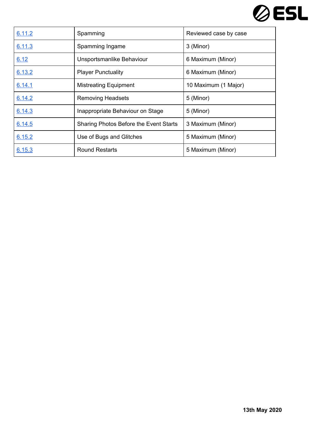

| 6.11.2 | Spamming                               | Reviewed case by case |
|--------|----------------------------------------|-----------------------|
| 6.11.3 | Spamming Ingame                        | 3 (Minor)             |
| 6.12   | Unsportsmanlike Behaviour              | 6 Maximum (Minor)     |
| 6.13.2 | <b>Player Punctuality</b>              | 6 Maximum (Minor)     |
| 6.14.1 | <b>Mistreating Equipment</b>           | 10 Maximum (1 Major)  |
| 6.14.2 | <b>Removing Headsets</b>               | 5 (Minor)             |
| 6.14.3 | Inappropriate Behaviour on Stage       | 5 (Minor)             |
| 6.14.5 | Sharing Photos Before the Event Starts | 3 Maximum (Minor)     |
| 6.15.2 | Use of Bugs and Glitches               | 5 Maximum (Minor)     |
| 6.15.3 | <b>Round Restarts</b>                  | 5 Maximum (Minor)     |